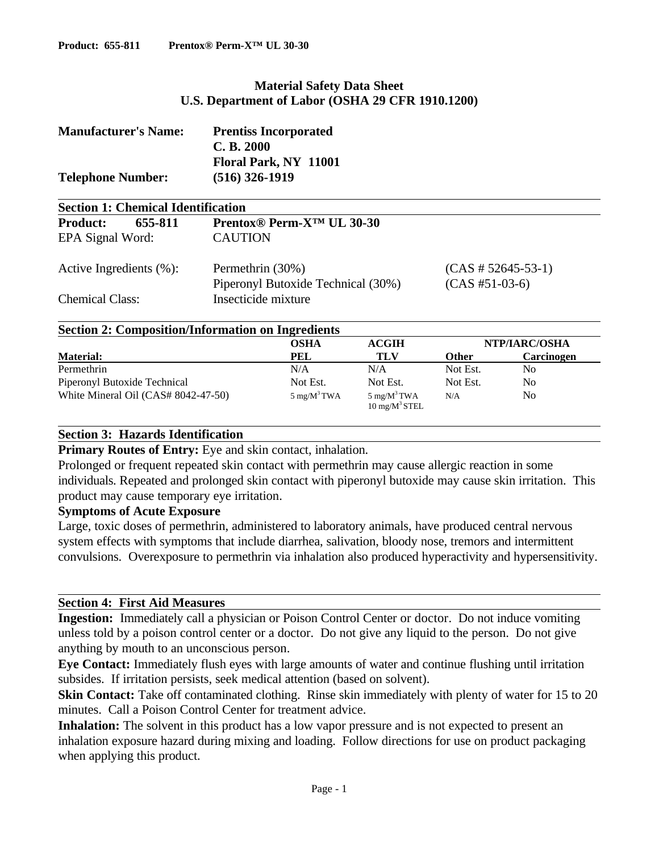# **Material Safety Data Sheet U.S. Department of Labor (OSHA 29 CFR 1910.1200)**

| <b>Manufacturer's Name:</b><br><b>Telephone Number:</b> | <b>Prentiss Incorporated</b><br>C. B. 2000<br>Floral Park, NY 11001<br>(516) 326-1919 |                  |  |
|---------------------------------------------------------|---------------------------------------------------------------------------------------|------------------|--|
| <b>Section 1: Chemical Identification</b>               |                                                                                       |                  |  |
| 655-811<br><b>Product:</b>                              | <b>Prentox® Perm-X<sup>TM</sup> UL 30-30</b>                                          |                  |  |
| EPA Signal Word:                                        | <b>CAUTION</b>                                                                        |                  |  |
| Active Ingredients $(\% )$ :                            | Permethrin (30%)<br>$(CAS \# 52645-53-1)$                                             |                  |  |
|                                                         | Piperonyl Butoxide Technical (30%)                                                    | $(CAS #51-03-6)$ |  |
| <b>Chemical Class:</b>                                  | Insecticide mixture                                                                   |                  |  |
|                                                         | <b>Section 2: Composition/Information on Ingredients</b>                              |                  |  |

|                                     | OSHA                   | <b>ACGIH</b>                                       | NTP/IARC/OSHA |            |
|-------------------------------------|------------------------|----------------------------------------------------|---------------|------------|
| <b>Material:</b>                    | PEL                    | TLV                                                | <b>Other</b>  | Carcinogen |
| Permethrin                          | N/A                    | N/A                                                | Not Est.      | No         |
| Piperonyl Butoxide Technical        | Not Est.               | Not Est.                                           | Not Est.      | No.        |
| White Mineral Oil (CAS# 8042-47-50) | $5 \text{ mg/M}^3$ TWA | $5 \text{ mg/M}^3$ TWA<br>$10 \text{ mg/M}^3$ STEL | N/A           | No         |

### **Section 3: Hazards Identification**

**Primary Routes of Entry:** Eye and skin contact, inhalation.

Prolonged or frequent repeated skin contact with permethrin may cause allergic reaction in some individuals. Repeated and prolonged skin contact with piperonyl butoxide may cause skin irritation. This product may cause temporary eye irritation.

### **Symptoms of Acute Exposure**

Large, toxic doses of permethrin, administered to laboratory animals, have produced central nervous system effects with symptoms that include diarrhea, salivation, bloody nose, tremors and intermittent convulsions. Overexposure to permethrin via inhalation also produced hyperactivity and hypersensitivity.

### **Section 4: First Aid Measures**

**Ingestion:** Immediately call a physician or Poison Control Center or doctor. Do not induce vomiting unless told by a poison control center or a doctor. Do not give any liquid to the person. Do not give anything by mouth to an unconscious person.

**Eye Contact:** Immediately flush eyes with large amounts of water and continue flushing until irritation subsides. If irritation persists, seek medical attention (based on solvent).

**Skin Contact:** Take off contaminated clothing. Rinse skin immediately with plenty of water for 15 to 20 minutes. Call a Poison Control Center for treatment advice.

Inhalation: The solvent in this product has a low vapor pressure and is not expected to present an inhalation exposure hazard during mixing and loading. Follow directions for use on product packaging when applying this product.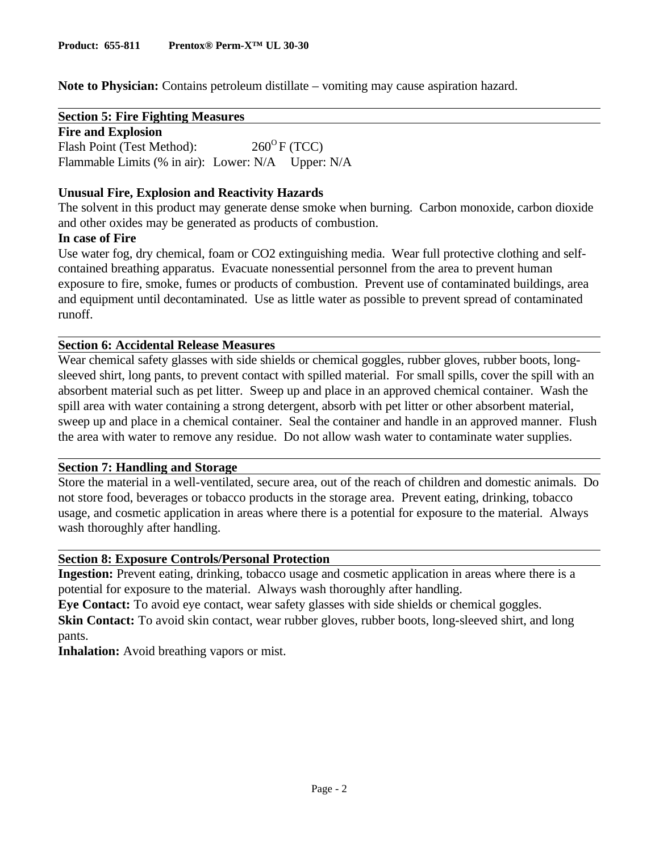**Note to Physician:** Contains petroleum distillate – vomiting may cause aspiration hazard.

**Section 5: Fire Fighting Measures**

**Fire and Explosion** Flash Point (Test Method):  $260^{\circ}$  F (TCC) Flammable Limits (% in air): Lower: N/A Upper: N/A

# **Unusual Fire, Explosion and Reactivity Hazards**

The solvent in this product may generate dense smoke when burning. Carbon monoxide, carbon dioxide and other oxides may be generated as products of combustion.

## **In case of Fire**

Use water fog, dry chemical, foam or CO2 extinguishing media. Wear full protective clothing and selfcontained breathing apparatus. Evacuate nonessential personnel from the area to prevent human exposure to fire, smoke, fumes or products of combustion. Prevent use of contaminated buildings, area and equipment until decontaminated. Use as little water as possible to prevent spread of contaminated runoff.

## **Section 6: Accidental Release Measures**

Wear chemical safety glasses with side shields or chemical goggles, rubber gloves, rubber boots, longsleeved shirt, long pants, to prevent contact with spilled material. For small spills, cover the spill with an absorbent material such as pet litter. Sweep up and place in an approved chemical container. Wash the spill area with water containing a strong detergent, absorb with pet litter or other absorbent material, sweep up and place in a chemical container. Seal the container and handle in an approved manner. Flush the area with water to remove any residue. Do not allow wash water to contaminate water supplies.

### **Section 7: Handling and Storage**

Store the material in a well-ventilated, secure area, out of the reach of children and domestic animals. Do not store food, beverages or tobacco products in the storage area. Prevent eating, drinking, tobacco usage, and cosmetic application in areas where there is a potential for exposure to the material. Always wash thoroughly after handling.

### **Section 8: Exposure Controls/Personal Protection**

**Ingestion:** Prevent eating, drinking, tobacco usage and cosmetic application in areas where there is a potential for exposure to the material. Always wash thoroughly after handling.

**Eye Contact:** To avoid eye contact, wear safety glasses with side shields or chemical goggles. **Skin Contact:** To avoid skin contact, wear rubber gloves, rubber boots, long-sleeved shirt, and long pants.

**Inhalation:** Avoid breathing vapors or mist.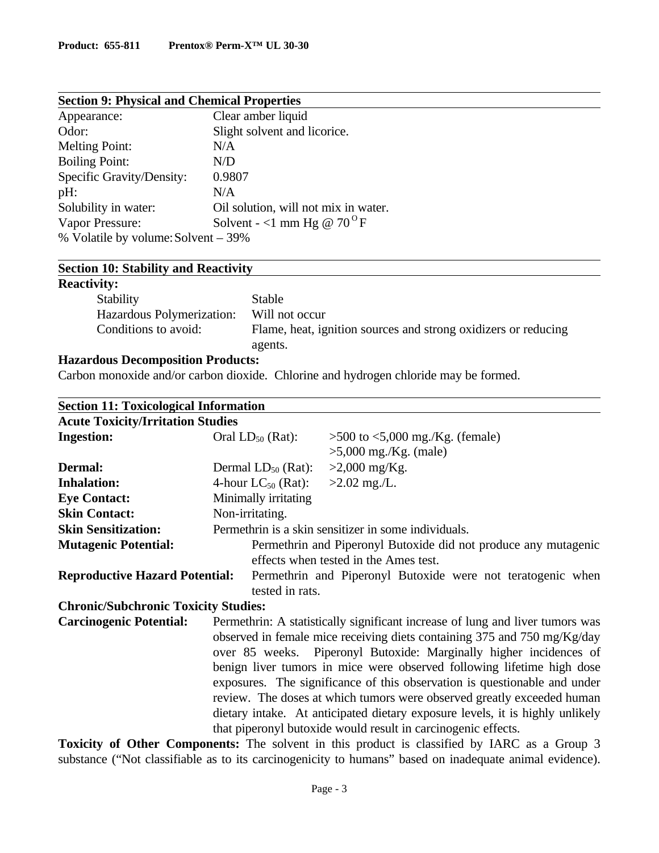| <b>Section 9: Physical and Chemical Properties</b> |                                      |  |  |
|----------------------------------------------------|--------------------------------------|--|--|
| Appearance:                                        | Clear amber liquid                   |  |  |
| Odor:                                              | Slight solvent and licorice.         |  |  |
| <b>Melting Point:</b>                              | N/A                                  |  |  |
| <b>Boiling Point:</b>                              | N/D                                  |  |  |
| Specific Gravity/Density:                          | 0.9807                               |  |  |
| $pH$ :                                             | N/A                                  |  |  |
| Solubility in water:                               | Oil solution, will not mix in water. |  |  |
| Vapor Pressure:                                    | Solvent - <1 mm Hg @ $70^{\circ}$ F  |  |  |
| % Volatile by volume: Solvent – 39%                |                                      |  |  |

## **Section 10: Stability and Reactivity**

## **Reactivity:**

| Stability                 | Stable                                                         |
|---------------------------|----------------------------------------------------------------|
| Hazardous Polymerization: | Will not occur                                                 |
| Conditions to avoid:      | Flame, heat, ignition sources and strong oxidizers or reducing |
|                           | agents.                                                        |

#### **Hazardous Decomposition Products:**

Carbon monoxide and/or carbon dioxide. Chlorine and hydrogen chloride may be formed.

| <b>Section 11: Toxicological Information</b> |                                                                 |                                                                               |  |
|----------------------------------------------|-----------------------------------------------------------------|-------------------------------------------------------------------------------|--|
| <b>Acute Toxicity/Irritation Studies</b>     |                                                                 |                                                                               |  |
| <b>Ingestion:</b>                            | Oral $LD_{50}$ (Rat):                                           | $>500$ to $< 5,000$ mg./Kg. (female)                                          |  |
|                                              |                                                                 | $>5,000$ mg./Kg. (male)                                                       |  |
| Dermal:                                      | Dermal $LD_{50}$ (Rat):                                         | $>2,000$ mg/Kg.                                                               |  |
| <b>Inhalation:</b>                           | 4-hour $LC_{50}$ (Rat):                                         | $>2.02$ mg./L.                                                                |  |
| <b>Eye Contact:</b>                          | Minimally irritating                                            |                                                                               |  |
| <b>Skin Contact:</b>                         | Non-irritating.                                                 |                                                                               |  |
| <b>Skin Sensitization:</b>                   | Permethrin is a skin sensitizer in some individuals.            |                                                                               |  |
| <b>Mutagenic Potential:</b>                  | Permethrin and Piperonyl Butoxide did not produce any mutagenic |                                                                               |  |
|                                              |                                                                 | effects when tested in the Ames test.                                         |  |
| <b>Reproductive Hazard Potential:</b>        |                                                                 | Permethrin and Piperonyl Butoxide were not teratogenic when                   |  |
|                                              | tested in rats.                                                 |                                                                               |  |
| <b>Chronic/Subchronic Toxicity Studies:</b>  |                                                                 |                                                                               |  |
| <b>Carcinogenic Potential:</b>               |                                                                 | Permethrin: A statistically significant increase of lung and liver tumors was |  |
|                                              |                                                                 | observed in female mice receiving diets containing 375 and 750 mg/Kg/day      |  |
|                                              |                                                                 | over 85 weeks. Piperonyl Butoxide: Marginally higher incidences of            |  |
|                                              |                                                                 | benign liver tumors in mice were observed following lifetime high dose        |  |
|                                              |                                                                 | exposures. The significance of this observation is questionable and under     |  |
|                                              |                                                                 | review. The doses at which tumors were observed greatly exceeded human        |  |
|                                              |                                                                 | dietary intake. At anticipated dietary exposure levels, it is highly unlikely |  |
|                                              |                                                                 | that piperonyl butoxide would result in carcinogenic effects.                 |  |

**Toxicity of Other Components:** The solvent in this product is classified by IARC as a Group 3 substance ("Not classifiable as to its carcinogenicity to humans" based on inadequate animal evidence).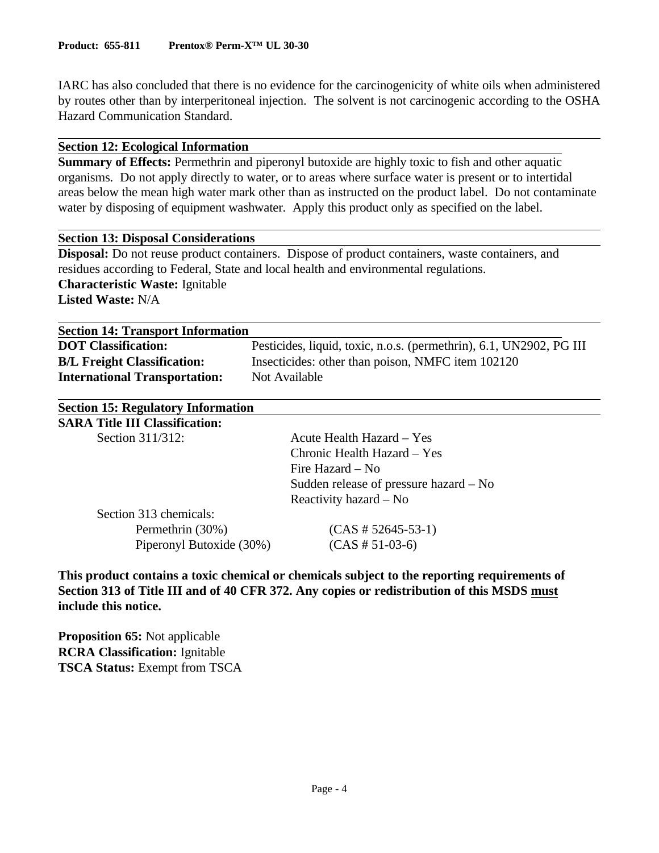IARC has also concluded that there is no evidence for the carcinogenicity of white oils when administered by routes other than by interperitoneal injection. The solvent is not carcinogenic according to the OSHA Hazard Communication Standard.

#### **Section 12: Ecological Information**

**Summary of Effects:** Permethrin and piperonyl butoxide are highly toxic to fish and other aquatic organisms. Do not apply directly to water, or to areas where surface water is present or to intertidal areas below the mean high water mark other than as instructed on the product label. Do not contaminate water by disposing of equipment washwater. Apply this product only as specified on the label.

#### **Section 13: Disposal Considerations**

**Disposal:** Do not reuse product containers. Dispose of product containers, waste containers, and residues according to Federal, State and local health and environmental regulations. **Characteristic Waste:** Ignitable **Listed Waste:** N/A

| <b>Section 14: Transport Information</b> |                                                                     |  |  |
|------------------------------------------|---------------------------------------------------------------------|--|--|
| <b>DOT</b> Classification:               | Pesticides, liquid, toxic, n.o.s. (permethrin), 6.1, UN2902, PG III |  |  |
| <b>B/L Freight Classification:</b>       | Insecticides: other than poison, NMFC item 102120                   |  |  |
| <b>International Transportation:</b>     | Not Available                                                       |  |  |

| <b>Section 15: Regulatory Information</b> |                                        |
|-------------------------------------------|----------------------------------------|
| <b>SARA Title III Classification:</b>     |                                        |
| Section 311/312:                          | Acute Health Hazard – Yes              |
|                                           | Chronic Health Hazard – Yes            |
|                                           | Fire Hazard – No                       |
|                                           | Sudden release of pressure hazard – No |
|                                           | Reactivity hazard $-$ No               |
| Section 313 chemicals:                    |                                        |
| Permethrin (30%)                          | $(CAS \# 52645 - 53 - 1)$              |
| Piperonyl Butoxide (30%)                  | $(CAS # 51-03-6)$                      |

**This product contains a toxic chemical or chemicals subject to the reporting requirements of Section 313 of Title III and of 40 CFR 372. Any copies or redistribution of this MSDS must include this notice.**

**Proposition 65:** Not applicable **RCRA Classification:** Ignitable **TSCA Status:** Exempt from TSCA